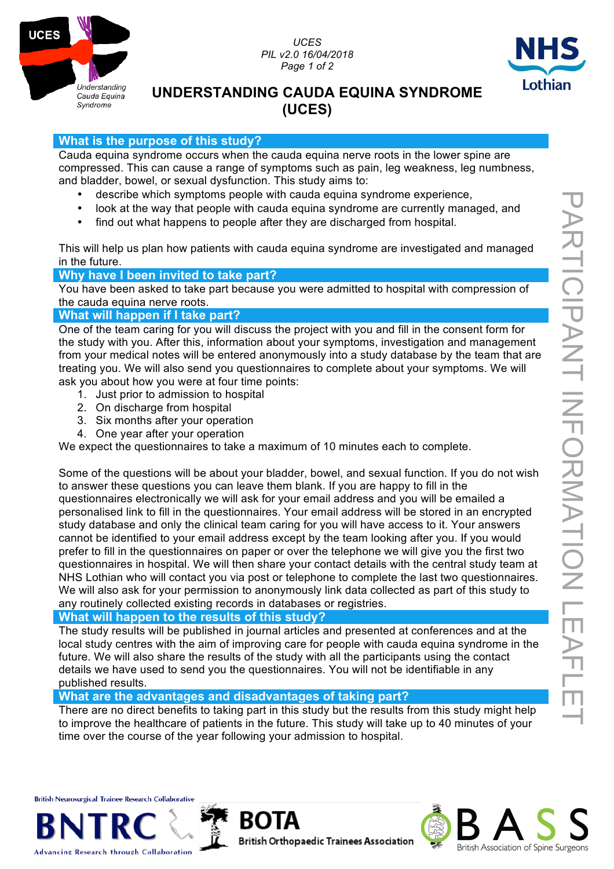

*UCES PIL v2.0 16/04/2018 Page 1 of 2*



# **UNDERSTANDING CAUDA EQUINA SYNDROME (UCES)**

## **What is the purpose of this study?**

Cauda equina syndrome occurs when the cauda equina nerve roots in the lower spine are compressed. This can cause a range of symptoms such as pain, leg weakness, leg numbness, and bladder, bowel, or sexual dysfunction. This study aims to:

- describe which symptoms people with cauda equina syndrome experience,
- look at the way that people with cauda equina syndrome are currently managed, and
- find out what happens to people after they are discharged from hospital.

This will help us plan how patients with cauda equina syndrome are investigated and managed in the future.

## **Why have I been invited to take part?**

You have been asked to take part because you were admitted to hospital with compression of the cauda equina nerve roots.

## **What will happen if I take part?**

One of the team caring for you will discuss the project with you and fill in the consent form for the study with you. After this, information about your symptoms, investigation and management from your medical notes will be entered anonymously into a study database by the team that are treating you. We will also send you questionnaires to complete about your symptoms. We will ask you about how you were at four time points:

- 1. Just prior to admission to hospital
- 2. On discharge from hospital
- 3. Six months after your operation
- 4. One year after your operation

We expect the questionnaires to take a maximum of 10 minutes each to complete.

Some of the questions will be about your bladder, bowel, and sexual function. If you do not wish to answer these questions you can leave them blank. If you are happy to fill in the questionnaires electronically we will ask for your email address and you will be emailed a personalised link to fill in the questionnaires. Your email address will be stored in an encrypted study database and only the clinical team caring for you will have access to it. Your answers cannot be identified to your email address except by the team looking after you. If you would prefer to fill in the questionnaires on paper or over the telephone we will give you the first two questionnaires in hospital. We will then share your contact details with the central study team at NHS Lothian who will contact you via post or telephone to complete the last two questionnaires. We will also ask for your permission to anonymously link data collected as part of this study to any routinely collected existing records in databases or registries.

# **What will happen to the results of this study?**

The study results will be published in journal articles and presented at conferences and at the local study centres with the aim of improving care for people with cauda equina syndrome in the future. We will also share the results of the study with all the participants using the contact details we have used to send you the questionnaires. You will not be identifiable in any published results.

**What are the advantages and disadvantages of taking part?**

ROI

There are no direct benefits to taking part in this study but the results from this study might help to improve the healthcare of patients in the future. This study will take up to 40 minutes of your time over the course of the year following your admission to hospital.

**British Neurosurgical Trainee Research Collaborative** 



**Advancing Research through Collaboration**